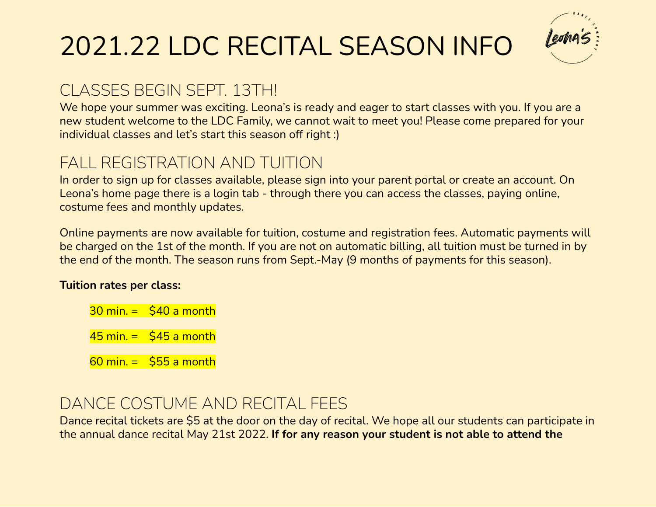# 2021.22 LDC RECITAL SEASON INFO

## CLASSES BEGIN SEPT. 13TH!

We hope your summer was exciting. Leona's is ready and eager to start classes with you. If you are a new student welcome to the LDC Family, we cannot wait to meet you! Please come prepared for your individual classes and let's start this season off right :)

### FALL REGISTRATION AND TUITION

In order to sign up for classes available, please sign into your parent portal or create an account. On Leona's home page there is a login tab - through there you can access the classes, paying online, costume fees and monthly updates.

Online payments are now available for tuition, costume and registration fees. Automatic payments will be charged on the 1st of the month. If you are not on automatic billing, all tuition must be turned in by the end of the month. The season runs from Sept.-May (9 months of payments for this season).

#### **Tuition rates per class:**

- $30$  min.  $=$  \$40 a month
- $45$  min. =  $$45$  a month

 $60$  min. =  $555$  a month

#### DANCE COSTUME AND RECITAL FEES

Dance recital tickets are \$5 at the door on the day of recital. We hope all our students can participate in the annual dance recital May 21st 2022. **If for any reason your student is not able to attend the**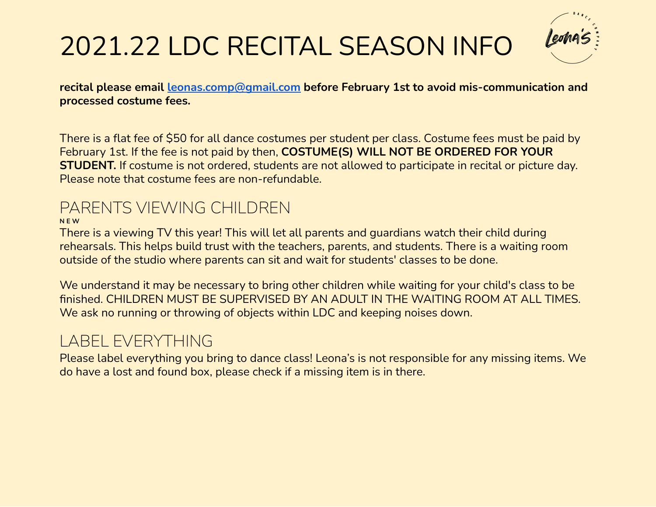# 2021.22 LDC RECITAL SEASON INFO

**recital please email [leonas.comp@gmail.com](mailto:leonas.comp@gmail.com) before February 1st to avoid mis-communication and processed costume fees.**

There is a flat fee of \$50 for all dance costumes per student per class. Costume fees must be paid by February 1st. If the fee is not paid by then, **COSTUME(S) WILL NOT BE ORDERED FOR YOUR STUDENT.** If costume is not ordered, students are not allowed to participate in recital or picture day. Please note that costume fees are non-refundable.

### PARENTS VIEWING CHILDREN

**N E W**

There is a viewing TV this year! This will let all parents and guardians watch their child during rehearsals. This helps build trust with the teachers, parents, and students. There is a waiting room outside of the studio where parents can sit and wait for students' classes to be done.

We understand it may be necessary to bring other children while waiting for your child's class to be finished. CHILDREN MUST BE SUPERVISED BY AN ADULT IN THE WAITING ROOM AT ALL TIMES. We ask no running or throwing of objects within LDC and keeping noises down.

# LABEL EVERYTHING

Please label everything you bring to dance class! Leona's is not responsible for any missing items. We do have a lost and found box, please check if a missing item is in there.